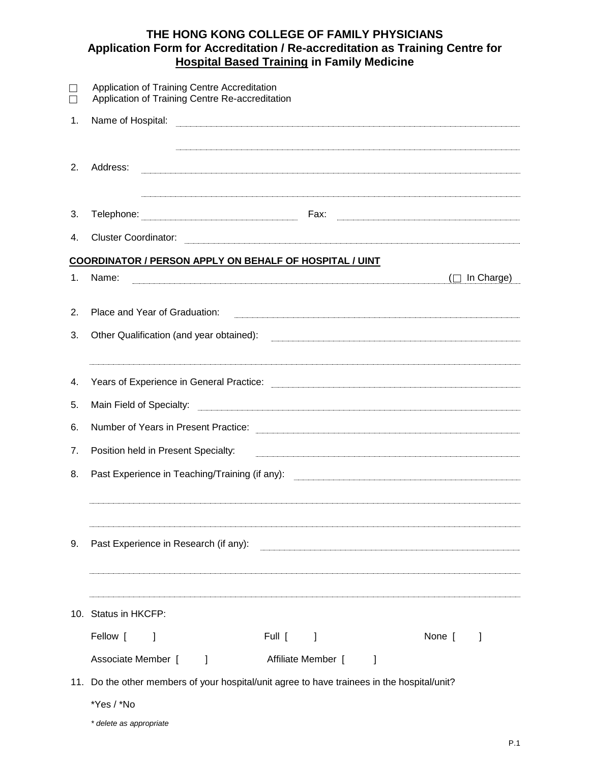## **THE HONG KONG COLLEGE OF FAMILY PHYSICIANS Application Form for Accreditation / Re-accreditation as Training Centre for Hospital Based Training in Family Medicine**

|    | Application of Training Centre Accreditation<br>Application of Training Centre Re-accreditation                                                                                                                                      |
|----|--------------------------------------------------------------------------------------------------------------------------------------------------------------------------------------------------------------------------------------|
| 1. | Name of Hospital:                                                                                                                                                                                                                    |
| 2. | Address:                                                                                                                                                                                                                             |
| 3. |                                                                                                                                                                                                                                      |
| 4. |                                                                                                                                                                                                                                      |
|    | <b>COORDINATOR / PERSON APPLY ON BEHALF OF HOSPITAL / UINT</b>                                                                                                                                                                       |
| 1. | Name:<br>In Charge)                                                                                                                                                                                                                  |
| 2. | Place and Year of Graduation:                                                                                                                                                                                                        |
| 3. | Other Qualification (and year obtained):                                                                                                                                                                                             |
| 4. | Years of Experience in General Practice: <b>Constant Construction Constant Constant Constant Constant Constant Constant Constant Constant Constant Constant Constant Constant Constant Constant Constant Constant Constant Const</b> |
| 5. | Main Field of Specialty:                                                                                                                                                                                                             |
| 6. |                                                                                                                                                                                                                                      |
| 7. | Position held in Present Specialty:                                                                                                                                                                                                  |
| 8. |                                                                                                                                                                                                                                      |
| 9. | Past Experience in Research (if any):                                                                                                                                                                                                |
|    | 10. Status in HKCFP:                                                                                                                                                                                                                 |
|    | Fellow [<br>None [<br>Full [<br>1                                                                                                                                                                                                    |
|    | Associate Member [<br>Affiliate Member [<br>1<br>$\perp$                                                                                                                                                                             |
|    | 11. Do the other members of your hospital/unit agree to have trainees in the hospital/unit?                                                                                                                                          |
|    | *Yes / *No                                                                                                                                                                                                                           |

*<sup>\*</sup> delete as appropriate*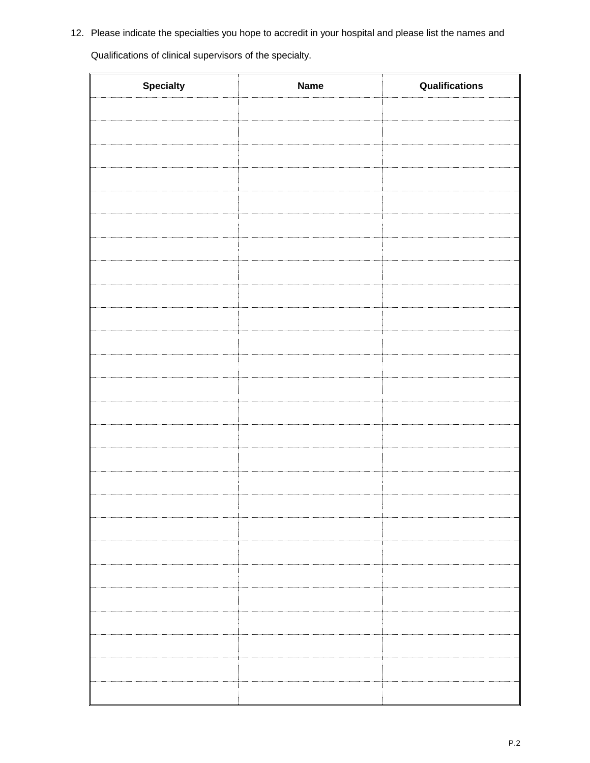12. Please indicate the specialties you hope to accredit in your hospital and please list the names and

Qualifications of clinical supervisors of the specialty.

| <b>Specialty</b> | <b>Name</b> | Qualifications |
|------------------|-------------|----------------|
|                  |             |                |
|                  |             |                |
|                  |             |                |
|                  |             |                |
|                  |             |                |
|                  |             |                |
|                  |             |                |
|                  |             |                |
|                  |             |                |
|                  |             |                |
|                  |             |                |
|                  |             |                |
|                  |             |                |
|                  |             |                |
|                  |             |                |
|                  |             |                |
|                  |             |                |
|                  |             |                |
|                  |             |                |
|                  |             |                |
|                  |             |                |
|                  |             |                |
|                  |             |                |
|                  |             |                |
|                  |             |                |
|                  |             |                |

 $\overline{\mathbf{u}}$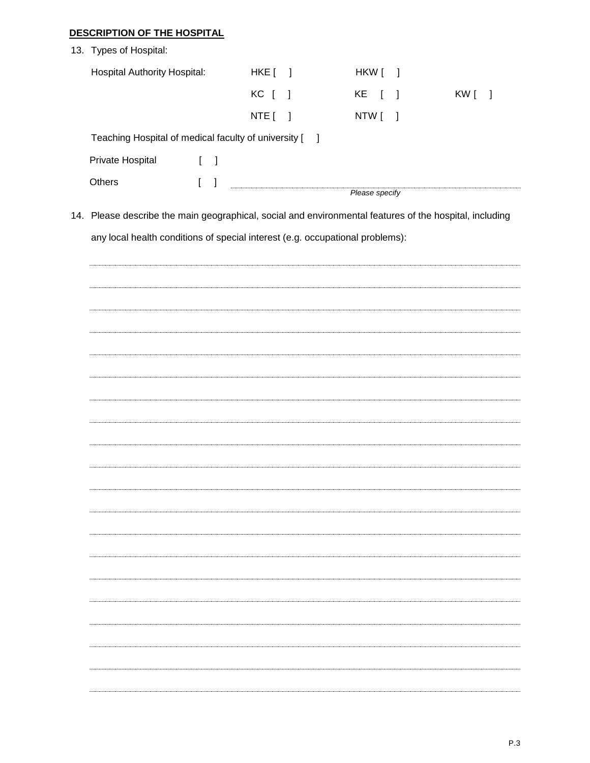## **DESCRIPTION OF THE HOSPITAL**

| 13. Types of Hospital:                                                                                  |                                   |              |           |        |                      |        |                  |
|---------------------------------------------------------------------------------------------------------|-----------------------------------|--------------|-----------|--------|----------------------|--------|------------------|
| <b>Hospital Authority Hospital:</b>                                                                     |                                   |              | $HKE$ $]$ |        | HKW [                | $\Box$ |                  |
|                                                                                                         |                                   |              | KC [      | $\Box$ | KE<br>$\blacksquare$ | - 1    | KW [<br>$\lceil$ |
|                                                                                                         |                                   |              | NTE [     | 1      | NTW [                | 1      |                  |
| Teaching Hospital of medical faculty of university [                                                    |                                   |              |           | $\Box$ |                      |        |                  |
| Private Hospital                                                                                        | $\begin{bmatrix} 1 \end{bmatrix}$ |              |           |        |                      |        |                  |
| Others                                                                                                  | $\overline{[}$                    | $\mathbf{l}$ |           |        |                      |        |                  |
|                                                                                                         |                                   |              |           |        | Please specify       |        |                  |
| 14. Please describe the main geographical, social and environmental features of the hospital, including |                                   |              |           |        |                      |        |                  |
| any local health conditions of special interest (e.g. occupational problems):                           |                                   |              |           |        |                      |        |                  |
|                                                                                                         |                                   |              |           |        |                      |        |                  |
|                                                                                                         |                                   |              |           |        |                      |        |                  |
|                                                                                                         |                                   |              |           |        |                      |        |                  |
|                                                                                                         |                                   |              |           |        |                      |        |                  |
|                                                                                                         |                                   |              |           |        |                      |        |                  |
|                                                                                                         |                                   |              |           |        |                      |        |                  |
|                                                                                                         |                                   |              |           |        |                      |        |                  |
|                                                                                                         |                                   |              |           |        |                      |        |                  |
|                                                                                                         |                                   |              |           |        |                      |        |                  |
|                                                                                                         |                                   |              |           |        |                      |        |                  |
|                                                                                                         |                                   |              |           |        |                      |        |                  |
|                                                                                                         |                                   |              |           |        |                      |        |                  |
|                                                                                                         |                                   |              |           |        |                      |        |                  |
|                                                                                                         |                                   |              |           |        |                      |        |                  |
|                                                                                                         |                                   |              |           |        |                      |        |                  |
|                                                                                                         |                                   |              |           |        |                      |        |                  |
|                                                                                                         |                                   |              |           |        |                      |        |                  |
|                                                                                                         |                                   |              |           |        |                      |        |                  |
|                                                                                                         |                                   |              |           |        |                      |        |                  |
|                                                                                                         |                                   |              |           |        |                      |        |                  |
|                                                                                                         |                                   |              |           |        |                      |        |                  |
|                                                                                                         |                                   |              |           |        |                      |        |                  |
|                                                                                                         |                                   |              |           |        |                      |        |                  |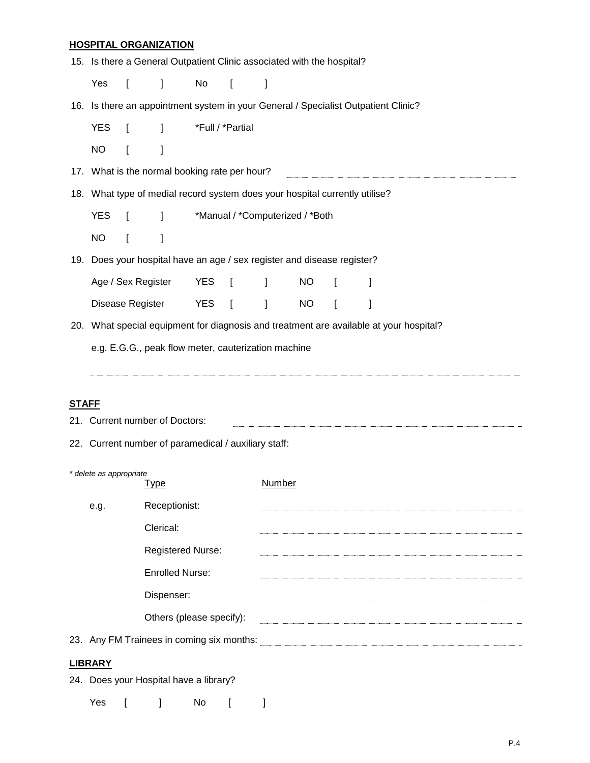## **HOSPITAL ORGANIZATION**

|              | 15. Is there a General Outpatient Clinic associated with the hospital?             |              |                                                                             |                  |                |                                 |               |                |                                                                                        |  |  |  |
|--------------|------------------------------------------------------------------------------------|--------------|-----------------------------------------------------------------------------|------------------|----------------|---------------------------------|---------------|----------------|----------------------------------------------------------------------------------------|--|--|--|
|              | Yes                                                                                | $\mathbf{r}$ | 1                                                                           | No               | $\blacksquare$ | 1                               |               |                |                                                                                        |  |  |  |
|              | 16. Is there an appointment system in your General / Specialist Outpatient Clinic? |              |                                                                             |                  |                |                                 |               |                |                                                                                        |  |  |  |
|              | <b>YES</b>                                                                         | $\mathbf{I}$ | $\mathbf{I}$                                                                | *Full / *Partial |                |                                 |               |                |                                                                                        |  |  |  |
|              | <b>NO</b>                                                                          | $\Gamma$     | 1                                                                           |                  |                |                                 |               |                |                                                                                        |  |  |  |
|              |                                                                                    |              | 17. What is the normal booking rate per hour?                               |                  |                |                                 |               |                |                                                                                        |  |  |  |
|              |                                                                                    |              | 18. What type of medial record system does your hospital currently utilise? |                  |                |                                 |               |                |                                                                                        |  |  |  |
|              | <b>YES</b>                                                                         | $\mathbf{r}$ | $\mathbf{I}$                                                                |                  |                | *Manual / *Computerized / *Both |               |                |                                                                                        |  |  |  |
|              | <b>NO</b>                                                                          | I            | 1                                                                           |                  |                |                                 |               |                |                                                                                        |  |  |  |
|              |                                                                                    |              | 19. Does your hospital have an age / sex register and disease register?     |                  |                |                                 |               |                |                                                                                        |  |  |  |
|              | Age / Sex Register                                                                 |              | <b>YES</b>                                                                  | $\blacksquare$   | $\mathbf{I}$   | <b>NO</b>                       | $\mathbf{I}$  | 1              |                                                                                        |  |  |  |
|              | Disease Register                                                                   |              |                                                                             | <b>YES</b>       | $\blacksquare$ | 1                               | <b>NO</b>     | $\overline{a}$ | 1                                                                                      |  |  |  |
|              |                                                                                    |              |                                                                             |                  |                |                                 |               |                | 20. What special equipment for diagnosis and treatment are available at your hospital? |  |  |  |
|              | e.g. E.G.G., peak flow meter, cauterization machine                                |              |                                                                             |                  |                |                                 |               |                |                                                                                        |  |  |  |
|              |                                                                                    |              |                                                                             |                  |                |                                 |               |                |                                                                                        |  |  |  |
|              |                                                                                    |              |                                                                             |                  |                |                                 |               |                |                                                                                        |  |  |  |
| <b>STAFF</b> |                                                                                    |              | 21. Current number of Doctors:                                              |                  |                |                                 |               |                |                                                                                        |  |  |  |
|              |                                                                                    |              | 22. Current number of paramedical / auxiliary staff:                        |                  |                |                                 |               |                |                                                                                        |  |  |  |
|              |                                                                                    |              |                                                                             |                  |                |                                 |               |                |                                                                                        |  |  |  |
|              | * delete as appropriate<br><b>Type</b>                                             |              |                                                                             |                  |                |                                 | <b>Number</b> |                |                                                                                        |  |  |  |
|              | Receptionist:<br>e.g.                                                              |              |                                                                             |                  |                |                                 |               |                |                                                                                        |  |  |  |
|              |                                                                                    |              | Clerical:                                                                   |                  |                |                                 |               |                |                                                                                        |  |  |  |
|              |                                                                                    |              | Registered Nurse:                                                           |                  |                |                                 |               |                |                                                                                        |  |  |  |
|              |                                                                                    |              | <b>Enrolled Nurse:</b>                                                      |                  |                |                                 |               |                |                                                                                        |  |  |  |
|              | Dispenser:                                                                         |              |                                                                             |                  |                |                                 |               |                |                                                                                        |  |  |  |

Others (please specify): example and the specify of the specific specific specific specific specific specific specific specific specific specific specific specific specific specific specific specific specific specific spec

23. Any FM Trainees in coming six months:

## **LIBRARY**

24. Does your Hospital have a library?

Yes [ ] No [ ]